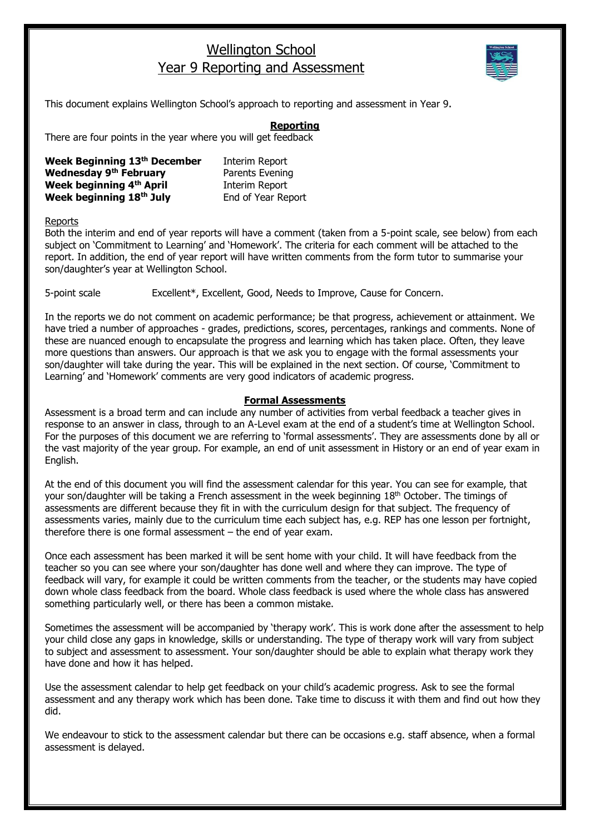## Wellington School Year 9 Reporting and Assessment



This document explains Wellington School's approach to reporting and assessment in Year 9.

## **Reporting**

There are four points in the year where you will get feedback

| Week Beginning 13th December  | Interim Report     |
|-------------------------------|--------------------|
| <b>Wednesday 9th February</b> | Parents Evening    |
| Week beginning 4th April      | Interim Report     |
| Week beginning 18th July      | End of Year Report |

Reports

Both the interim and end of year reports will have a comment (taken from a 5-point scale, see below) from each subject on 'Commitment to Learning' and 'Homework'. The criteria for each comment will be attached to the report. In addition, the end of year report will have written comments from the form tutor to summarise your son/daughter's year at Wellington School.

5-point scale Excellent\*, Excellent, Good, Needs to Improve, Cause for Concern.

In the reports we do not comment on academic performance; be that progress, achievement or attainment. We have tried a number of approaches - grades, predictions, scores, percentages, rankings and comments. None of these are nuanced enough to encapsulate the progress and learning which has taken place. Often, they leave more questions than answers. Our approach is that we ask you to engage with the formal assessments your son/daughter will take during the year. This will be explained in the next section. Of course, 'Commitment to Learning' and 'Homework' comments are very good indicators of academic progress.

## **Formal Assessments**

Assessment is a broad term and can include any number of activities from verbal feedback a teacher gives in response to an answer in class, through to an A-Level exam at the end of a student's time at Wellington School. For the purposes of this document we are referring to 'formal assessments'. They are assessments done by all or the vast majority of the year group. For example, an end of unit assessment in History or an end of year exam in English.

At the end of this document you will find the assessment calendar for this year. You can see for example, that your son/daughter will be taking a French assessment in the week beginning 18<sup>th</sup> October. The timings of assessments are different because they fit in with the curriculum design for that subject. The frequency of assessments varies, mainly due to the curriculum time each subject has, e.g. REP has one lesson per fortnight, therefore there is one formal assessment – the end of year exam.

Once each assessment has been marked it will be sent home with your child. It will have feedback from the teacher so you can see where your son/daughter has done well and where they can improve. The type of feedback will vary, for example it could be written comments from the teacher, or the students may have copied down whole class feedback from the board. Whole class feedback is used where the whole class has answered something particularly well, or there has been a common mistake.

Sometimes the assessment will be accompanied by 'therapy work'. This is work done after the assessment to help your child close any gaps in knowledge, skills or understanding. The type of therapy work will vary from subject to subject and assessment to assessment. Your son/daughter should be able to explain what therapy work they have done and how it has helped.

Use the assessment calendar to help get feedback on your child's academic progress. Ask to see the formal assessment and any therapy work which has been done. Take time to discuss it with them and find out how they did.

We endeavour to stick to the assessment calendar but there can be occasions e.g. staff absence, when a formal assessment is delayed.